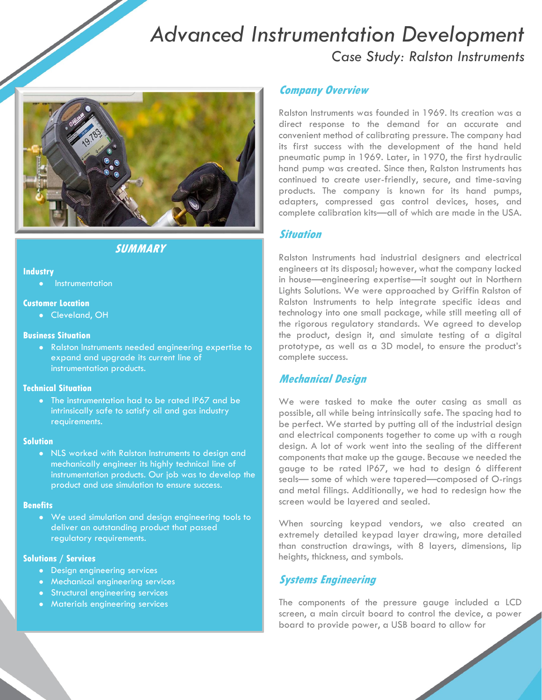# *Advanced Instrumentation Development Case Study: Ralston Instruments*



# **SUMMARY**

#### **Industry**

**•** Instrumentation

## **Customer Location**

Cleveland, OH

## **Business Situation**

 Ralston Instruments needed engineering expertise to expand and upgrade its current line of instrumentation products.

## **Technical Situation**

 The instrumentation had to be rated IP67 and be intrinsically safe to satisfy oil and gas industry requirements.

#### **Solution**

 NLS worked with Ralston Instruments to design and mechanically engineer its highly technical line of instrumentation products. Our job was to develop the product and use simulation to ensure success.

### **Benefits**

 We used simulation and design engineering tools to deliver an outstanding product that passed regulatory requirements.

## **Solutions / Services**

- Design engineering services
- Mechanical engineering services
- Structural engineering services
- **•** Materials engineering services

## **Company Overview**

Ralston Instruments was founded in 1969. Its creation was a direct response to the demand for an accurate and convenient method of calibrating pressure. The company had its first success with the development of the hand held pneumatic pump in 1969. Later, in 1970, the first hydraulic hand pump was created. Since then, Ralston Instruments has continued to create user-friendly, secure, and time-saving products. The company is known for its hand pumps, adapters, compressed gas control devices, hoses, and complete calibration kits—all of which are made in the USA.

## **Situation**

Ralston Instruments had industrial designers and electrical engineers at its disposal; however, what the company lacked in house—engineering expertise—it sought out in Northern Lights Solutions. We were approached by Griffin Ralston of Ralston Instruments to help integrate specific ideas and technology into one small package, while still meeting all of the rigorous regulatory standards. We agreed to develop the product, design it, and simulate testing of a digital prototype, as well as a 3D model, to ensure the product's complete success.

# **Mechanical Design**

We were tasked to make the outer casing as small as possible, all while being intrinsically safe. The spacing had to be perfect. We started by putting all of the industrial design and electrical components together to come up with a rough design. A lot of work went into the sealing of the different components that make up the gauge. Because we needed the gauge to be rated IP67, we had to design 6 different seals— some of which were tapered—composed of O-rings and metal filings. Additionally, we had to redesign how the screen would be layered and sealed.

When sourcing keypad vendors, we also created an extremely detailed keypad layer drawing, more detailed than construction drawings, with 8 layers, dimensions, lip heights, thickness, and symbols.

# **Systems Engineering**

The components of the pressure gauge included a LCD screen, a main circuit board to control the device, a power board to provide power, a USB board to allow for